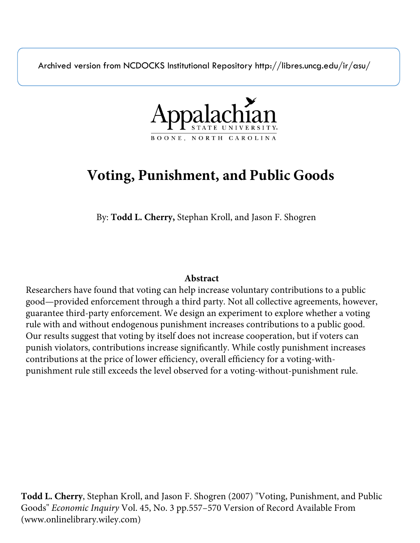Archived version from NCDOCKS Institutional Repository http://libres.uncg.edu/ir/asu/



# **Voting, Punishment, and Public Goods**

By: **Todd L. Cherry,** Stephan Kroll, and Jason F. Shogren

# **Abstract**

Researchers have found that voting can help increase voluntary contributions to a public good—provided enforcement through a third party. Not all collective agreements, however, guarantee third-party enforcement. We design an experiment to explore whether a voting rule with and without endogenous punishment increases contributions to a public good. Our results suggest that voting by itself does not increase cooperation, but if voters can punish violators, contributions increase significantly. While costly punishment increases contributions at the price of lower efficiency, overall efficiency for a voting-withpunishment rule still exceeds the level observed for a voting-without-punishment rule.

**Todd L. Cherry**, Stephan Kroll, and Jason F. Shogren (2007) "Voting, Punishment, and Public Goods" *Economic Inquiry* Vol. 45, No. 3 pp.557–570 Version of Record Available From (www.onlinelibrary.wiley.com)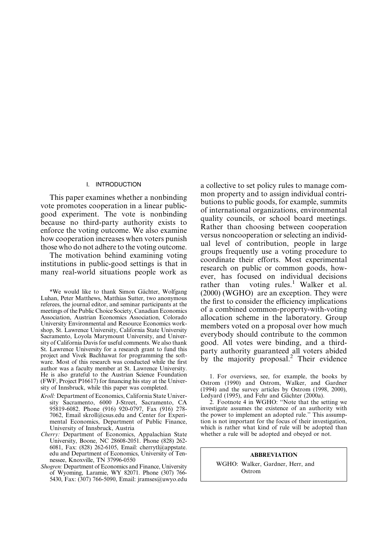#### I. INTRODUCTION

This paper examines whether a nonbinding vote promotes cooperation in a linear publicgood experiment. The vote is nonbinding because no third-party authority exists to enforce the voting outcome. We also examine how cooperation increases when voters punish those who do not adhere to the voting outcome.

The motivation behind examining voting institutions in public-good settings is that in many real-world situations people work as

\*We would like to thank Simon Gächter, Wolfgang Luhan, Peter Matthews, Matthias Sutter, two anonymous referees, the journal editor, and seminar participants at the meetings of the Public Choice Society, Canadian Economics Association, Austrian Economics Association, Colorado University Environmental and Resource Economics workshop, St. Lawrence University, California State University Sacramento, Loyola Marymount University, and University of California Davis for useful comments. We also thank St. Lawrence University for a research grant to fund this project and Vivek Bachhawat for programming the software. Most of this research was conducted while the first author was a faculty member at St. Lawrence University. He is also grateful to the Austrian Science Foundation (FWF, Project P16617) for financing his stay at the University of Innsbruck, while this paper was completed.

- Kroll: Department of Economics, California State University Sacramento, 6000 J-Street, Sacramento, CA 95819-6082. Phone (916) 920-0797, Fax (916) 278- 7062, Email skroll@csus.edu and Center for Experimental Economics, Department of Public Finance, University of Innsbruck, Austria
- Cherry: Department of Economics, Appalachian State University, Boone, NC 28608-2051. Phone (828) 262- 6081, Fax: (828) 262-6105, Email: cherrytl@appstate. edu and Department of Economics, University of Tennessee, Knoxville, TN 37996-0550
- Shogren: Department of Economics and Finance, University of Wyoming, Laramie, WY 82071. Phone (307) 766- 5430, Fax: (307) 766-5090, Email: jramses@uwyo.edu

a collective to set policy rules to manage common property and to assign individual contributions to public goods, for example, summits of international organizations, environmental quality councils, or school board meetings. Rather than choosing between cooperation versus noncooperation or selecting an individual level of contribution, people in large groups frequently use a voting procedure to coordinate their efforts. Most experimental research on public or common goods, however, has focused on individual decisions rather than voting rules.<sup>1</sup> Walker et al. (2000) (WGHO) are an exception. They were the first to consider the efficiency implications of a combined common-property-with-voting allocation scheme in the laboratory. Group members voted on a proposal over how much everybody should contribute to the common good. All votes were binding, and a thirdparty authority guaranteed all voters abided by the majority proposal.<sup>2</sup> Their evidence

1. For overviews, see, for example, the books by Ostrom (1990) and Ostrom, Walker, and Gardner (1994) and the survey articles by Ostrom (1998, 2000), Ledyard (1995), and Fehr and Gächter (2000a).

2. Footnote 4 in WGHO: ''Note that the setting we investigate assumes the existence of an authority with the power to implement an adopted rule.'' This assumption is not important for the focus of their investigation, which is rather what kind of rule will be adopted than whether a rule will be adopted and obeyed or not.

## ABBREVIATION WGHO: Walker, Gardner, Herr, and Ostrom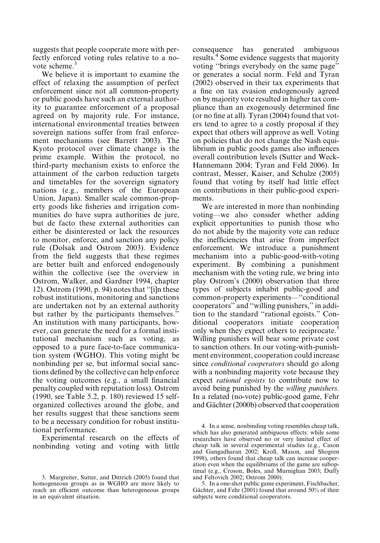suggests that people cooperate more with perfectly enforced voting rules relative to a novote scheme.<sup>3</sup>

We believe it is important to examine the effect of relaxing the assumption of perfect enforcement since not all common-property or public goods have such an external authority to guarantee enforcement of a proposal agreed on by majority rule. For instance, international environmental treaties between sovereign nations suffer from frail enforcement mechanisms (see Barrett 2003). The Kyoto protocol over climate change is the prime example. Within the protocol, no third-party mechanism exists to enforce the attainment of the carbon reduction targets and timetables for the sovereign signatory nations (e.g., members of the European Union, Japan). Smaller scale common-property goods like fisheries and irrigation communities do have supra authorities de jure, but de facto these external authorities can either be disinterested or lack the resources to monitor, enforce, and sanction any policy rule (Dolsak and Ostrom 2003). Evidence from the field suggests that these regimes are better built and enforced endogenously within the collective (see the overview in Ostrom, Walker, and Gardner 1994, chapter 12). Ostrom (1990, p. 94) notes that ''[i]n these robust institutions, monitoring and sanctions are undertaken not by an external authority but rather by the participants themselves.'' An institution with many participants, however, can generate the need for a formal institutional mechanism such as voting, as opposed to a pure face-to-face communication system (WGHO). This voting might be nonbinding per se, but informal social sanctions defined by the collective can help enforce the voting outcomes (e.g., a small financial penalty coupled with reputation loss). Ostrom (1990, see Table 5.2, p. 180) reviewed 15 selforganized collectives around the globe, and her results suggest that these sanctions seem to be a necessary condition for robust institutional performance.

Experimental research on the effects of nonbinding voting and voting with little

consequence has generated ambiguous results.<sup>4</sup> Some evidence suggests that majority voting ''brings everybody on the same page'' or generates a social norm. Feld and Tyran (2002) observed in their tax experiments that a fine on tax evasion endogenously agreed on by majority vote resulted in higher tax compliance than an exogenously determined fine (or no fine at all). Tyran (2004) found that voters tend to agree to a costly proposal if they expect that others will approve as well. Voting on policies that do not change the Nash equilibrium in public goods games also influences overall contribution levels (Sutter and Weck-Hannemann 2004; Tyran and Feld 2006). In contrast, Messer, Kaiser, and Schulze (2005) found that voting by itself had little effect on contributions in their public-good experiments.

We are interested in more than nonbinding voting—we also consider whether adding explicit opportunities to punish those who do not abide by the majority vote can reduce the inefficiencies that arise from imperfect enforcement. We introduce a punishment mechanism into a public-good-with-voting experiment. By combining a punishment mechanism with the voting rule, we bring into play Ostrom's (2000) observation that three types of subjects inhabit public-good and common-property experiments—''conditional cooperators'' and ''willing punishers,'' in addition to the standard ''rational egoists.'' Conditional cooperators initiate cooperation only when they expect others to reciprocate.<sup>5</sup> Willing punishers will bear some private cost to sanction others. In our voting-with-punishment environment, cooperation could increase since conditional cooperators should go along with a nonbinding majority vote because they expect *rational egoists* to contribute now to avoid being punished by the willing punishers. In a related (no-vote) public-good game, Fehr and Gächter (2000b) observed that cooperation

<sup>3.</sup> Margreiter, Sutter, and Dittrich (2005) found that homogeneous groups as in WGHO are more likely to reach an efficient outcome than heterogeneous groups in an equivalent situation.

<sup>4.</sup> In a sense, nonbinding voting resembles cheap talk, which has also generated ambiguous effects: while some researchers have observed no or very limited effect of cheap talk in several experimental studies (e.g., Cason and Gangadharan 2002; Kroll, Mason, and Shogren 1998), others found that cheap talk can increase cooperation even when the equilibriums of the game are suboptimal (e.g., Croson, Boles, and Murnighan 2003; Duffy and Feltovich 2002; Ostrom 2000).

<sup>5.</sup> In a one-shot public game experiment, Fischbacher, Gächter, and Fehr (2001) found that around 50% of their subjects were conditional cooperators.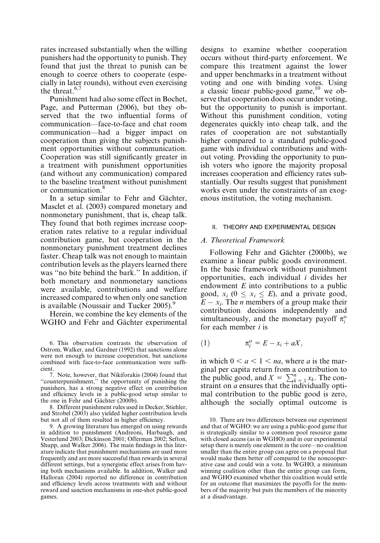rates increased substantially when the willing punishers had the opportunity to punish. They found that just the threat to punish can be enough to coerce others to cooperate (especially in later rounds), without even exercising the threat.<sup>6,7</sup>

Punishment had also some effect in Bochet, Page, and Putterman (2006), but they observed that the two influential forms of communication—face-to-face and chat room communication—had a bigger impact on cooperation than giving the subjects punishment opportunities without communication. Cooperation was still significantly greater in a treatment with punishment opportunities (and without any communication) compared to the baseline treatment without punishment or communication.<sup>8</sup>

In a setup similar to Fehr and Gächter, Masclet et al. (2003) compared monetary and nonmonetary punishment, that is, cheap talk. They found that both regimes increase cooperation rates relative to a regular individual contribution game, but cooperation in the nonmonetary punishment treatment declines faster. Cheap talk was not enough to maintain contribution levels as the players learned there was ''no bite behind the bark.'' In addition, if both monetary and nonmonetary sanctions were available, contributions and welfare increased compared to when only one sanction is available (Noussair and Tucker 2005).<sup>9</sup>

Herein, we combine the key elements of the WGHO and Fehr and Gächter experimental

8. Different punishment rules used in Decker, Stiehler, and Strobel (2003) also yielded higher contribution levels but not all of them resulted in higher efficiency.

9. A growing literature has emerged on using rewards in addition to punishment (Andreoni, Harbaugh, and Vesterlund 2003; Dickinson 2001; Offerman 2002; Sefton, Shupp, and Walker 2006). The main findings in this literature indicate that punishment mechanisms are used more frequently and are more successful than rewards in several different settings, but a synergistic effect arises from having both mechanisms available. In addition, Walker and Halloran (2004) reported no difference in contribution and efficiency levels across treatments with and without reward and sanction mechanisms in one-shot public-good games.

designs to examine whether cooperation occurs without third-party enforcement. We compare this treatment against the lower and upper benchmarks in a treatment without voting and one with binding votes. Using a classic linear public-good game,<sup>10</sup> we observe that cooperation does occur under voting, but the opportunity to punish is important. Without this punishment condition, voting degenerates quickly into cheap talk, and the rates of cooperation are not substantially higher compared to a standard public-good game with individual contributions and without voting. Providing the opportunity to punish voters who ignore the majority proposal increases cooperation and efficiency rates substantially. Our results suggest that punishment works even under the constraints of an exogenous institution, the voting mechanism.

#### II. THEORY AND EXPERIMENTAL DESIGN

### A. Theoretical Framework

Following Fehr and Gächter (2000b), we examine a linear public goods environment. In the basic framework without punishment opportunities, each individual i divides her endowment  $E$  into contributions to a public good,  $x_i$  ( $0 \le x_i \le E$ ), and a private good,  $E - x_i$ . The *n* members of a group make their contribution decisions independently and simultaneously, and the monetary payoff  $\pi$ <sup>o</sup> for each member  $i$  is

$$
(1) \qquad \qquad \pi_i^{\circ} = E - x_i + aX,
$$

in which  $0 < a < 1 < na$ , where a is the marginal per capita return from a contribution to the public good, and  $X = \sum_{k=1}^{n} x_k$ . The constraint on *a* ensures that the individually optimal contribution to the public good is zero, although the socially optimal outcome is

10. There are two differences between our experiment and that of WGHO: we are using a public-good game that is strategically similar to a common pool resource game with closed access (as in WGHO) and in our experimental setup there is merely one element in the core—no coalition smaller than the entire group can agree on a proposal that would make them better off compared to the noncooperative case and could win a vote. In WGHO, a minimum winning coalition other than the entire group can form, and WGHO examined whether this coalition would settle for an outcome that maximizes the payoffs for the members of the majority but puts the members of the minority at a disadvantage.

<sup>6.</sup> This observation contrasts the observation of Ostrom, Walker, and Gardner (1992) that sanctions alone were not enough to increase cooperation, but sanctions combined with face-to-face communication were sufficient.

<sup>7.</sup> Note, however, that Nikiforakis (2004) found that ''counterpunishment,'' the opportunity of punishing the punishers, has a strong negative effect on contribution and efficiency levels in a public-good setup similar to the one in Fehr and Gächter (2000b).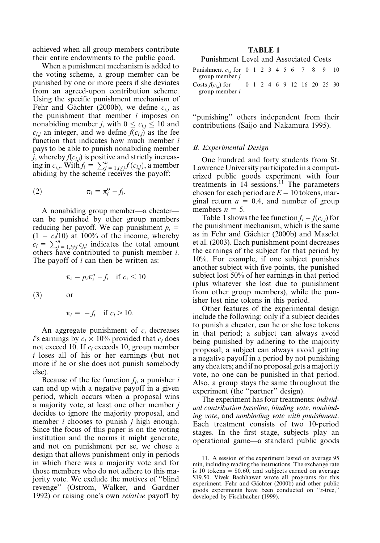achieved when all group members contribute their entire endowments to the public good.

When a punishment mechanism is added to the voting scheme, a group member can be punished by one or more peers if she deviates from an agreed-upon contribution scheme. Using the specific punishment mechanism of Fehr and Gächter (2000b), we define  $c_{i,j}$  as the punishment that member  $i$  imposes on nonabiding member *j*, with  $0 \leq c_{i,j} \leq 10$  and  $c_{i,j}$  an integer, and we define  $f(c_{i,j})$  as the fee function that indicates how much member *i* pays to be able to punish nonabiding member j, whereby  $f(c_{i,j})$  is positive and strictly increasing in  $c_{i,j}$ . With  $f_i = \sum_{j=1, i \neq j}^{n} f(c_{i,j})$ , a member abiding by the scheme receives the payoff:

$$
\pi_i = \pi_i^{\circ} - f_i.
$$

A nonabiding group member—a cheater can be punished by other group members reducing her payoff. We cap punishment  $p_i$  =  $(1 - c<sub>i</sub>/10)$  at 100% of the income, whereby  $c_i = \sum_{j=1, i \neq j}^{n} c_{j,i}$  indicates the total amount others have contributed to punish member  $i$ . The payoff of *i* can then be written as:

(3) 
$$
\pi_i = p_i \pi_i^o - f_i \quad \text{if } c_i \leq 10
$$

$$
\text{or}
$$

$$
\pi_i = -f_i \quad \text{if } c_i > 10.
$$

An aggregate punishment of  $c_i$  decreases i's earnings by  $c_i \times 10\%$  provided that  $c_i$  does not exceed 10. If  $c_i$  exceeds 10, group member i loses all of his or her earnings (but not more if he or she does not punish somebody else).

Because of the fee function  $f_i$ , a punisher i can end up with a negative payoff in a given period, which occurs when a proposal wins a majority vote, at least one other member j decides to ignore the majority proposal, and member  $i$  chooses to punish  $j$  high enough. Since the focus of this paper is on the voting institution and the norms it might generate, and not on punishment per se, we chose a design that allows punishment only in periods in which there was a majority vote and for those members who do not adhere to this majority vote. We exclude the motives of ''blind revenge'' (Ostrom, Walker, and Gardner 1992) or raising one's own relative payoff by

TABLE 1 Punishment Level and Associated Costs

| Punishment $c_{i,j}$ for 0 1 2 3 4 5 6 7 8<br>group member $j$        |  |  |  |  |  | 10 |
|-----------------------------------------------------------------------|--|--|--|--|--|----|
| Costs $f(c_{i,j})$ for 0 1 2 4 6 9 12 16 20 25 30<br>group member $i$ |  |  |  |  |  |    |

''punishing'' others independent from their contributions (Saijo and Nakamura 1995).

#### B. Experimental Design

One hundred and forty students from St. Lawrence University participated in a computerized public goods experiment with four treatments in  $14$  sessions.<sup>11</sup> The parameters chosen for each period are  $E = 10$  tokens, marginal return  $a = 0.4$ , and number of group members  $n = 5$ .

Table 1 shows the fee function  $f_i = f(c_{i,j})$  for the punishment mechanism, which is the same as in Fehr and Gächter (2000b) and Masclet et al. (2003). Each punishment point decreases the earnings of the subject for that period by 10%. For example, if one subject punishes another subject with five points, the punished subject lost 50% of her earnings in that period (plus whatever she lost due to punishment from other group members), while the punisher lost nine tokens in this period.

Other features of the experimental design include the following: only if a subject decides to punish a cheater, can he or she lose tokens in that period; a subject can always avoid being punished by adhering to the majority proposal; a subject can always avoid getting a negative payoff in a period by not punishing any cheaters; and if no proposal gets a majority vote, no one can be punished in that period. Also, a group stays the same throughout the experiment (the "partner" design).

The experiment has four treatments: individual contribution baseline, binding vote, nonbinding vote, and nonbinding vote with punishment. Each treatment consists of two 10-period stages. In the first stage, subjects play an operational game—a standard public goods

<sup>11.</sup> A session of the experiment lasted on average 95 min, including reading the instructions. The exchange rate is 10 tokens  $=$  \$0.60, and subjects earned on average \$19.50. Vivek Bachhawat wrote all programs for this experiment. Fehr and Gächter (2000b) and other public goods experiments have been conducted on ''z-tree,'' developed by Fischbacher (1999).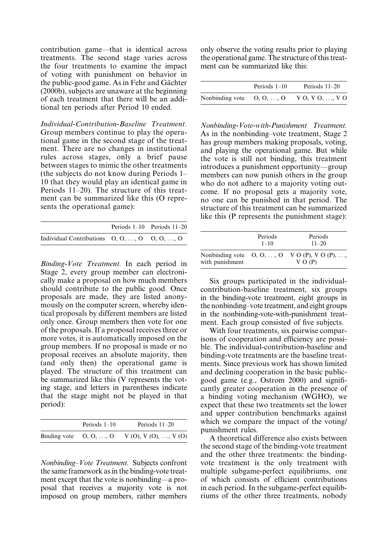contribution game—that is identical across treatments. The second stage varies across the four treatments to examine the impact of voting with punishment on behavior in the public-good game. As in Fehr and Gächter (2000b), subjects are unaware at the beginning of each treatment that there will be an additional ten periods after Period 10 ended.

Individual-Contribution-Baseline Treatment. Group members continue to play the operational game in the second stage of the treatment. There are no changes in institutional rules across stages, only a brief pause between stages to mimic the other treatments (the subjects do not know during Periods 1– 10 that they would play an identical game in Periods 11–20). The structure of this treatment can be summarized like this (O represents the operational game):

|                                                              | Periods $1-10$ Periods $11-20$ |
|--------------------------------------------------------------|--------------------------------|
| Individual Contributions $0, 0, \ldots, 0$ $0, 0, \ldots, 0$ |                                |

Binding-Vote Treatment. In each period in Stage 2, every group member can electronically make a proposal on how much members should contribute to the public good. Once proposals are made, they are listed anonymously on the computer screen, whereby identical proposals by different members are listed only once. Group members then vote for one of the proposals. If a proposal receives three or more votes, it is automatically imposed on the group members. If no proposal is made or no proposal receives an absolute majority, then (and only then) the operational game is played. The structure of this treatment can be summarized like this (V represents the voting stage, and letters in parentheses indicate that the stage might not be played in that period):

| Periods $1-10$                 |  | Periods $11-20$    |  |  |  |
|--------------------------------|--|--------------------|--|--|--|
| Binding vote $O, O, \ldots, O$ |  | V(0), V(0), , V(0) |  |  |  |

Nonbinding–Vote Treatment. Subjects confront the same framework as in the binding-vote treatment except that the vote is nonbinding—a proposal that receives a majority vote is not imposed on group members, rather members only observe the voting results prior to playing the operational game. The structure of this treatment can be summarized like this:

|                                   | Periods $1-10$ | Periods $11-20$                |  |  |  |
|-----------------------------------|----------------|--------------------------------|--|--|--|
| Nonbinding vote $0, 0, \ldots, 0$ |                | $V$ O, $V$ O, $\ldots$ , $V$ O |  |  |  |

Nonbinding-Vote-with-Punishment Treatment. As in the nonbinding–vote treatment, Stage 2 has group members making proposals, voting, and playing the operational game. But while the vote is still not binding, this treatment introduces a punishment opportunity—group members can now punish others in the group who do not adhere to a majority voting outcome. If no proposal gets a majority vote, no one can be punished in that period. The structure of this treatment can be summarized like this (P represents the punishment stage):

|                 | Periods<br>$1 - 10$ | Periods<br>$11 - 20$                                                                                    |  |  |  |
|-----------------|---------------------|---------------------------------------------------------------------------------------------------------|--|--|--|
| with punishment |                     | Nonbinding vote $O, O, \ldots, O \quad V \cdot O \cdot (P), V \cdot O \cdot (P), \ldots$<br>$V$ O $(P)$ |  |  |  |

Six groups participated in the individualcontribution-baseline treatment, six groups in the binding-vote treatment, eight groups in the nonbinding–vote treatment, and eight groups in the nonbinding-vote-with-punishment treatment. Each group consisted of five subjects.

With four treatments, six pairwise comparisons of cooperation and efficiency are possible. The individual-contribution-baseline and binding-vote treatments are the baseline treatments. Since previous work has shown limited and declining cooperation in the basic publicgood game (e.g., Ostrom 2000) and significantly greater cooperation in the presence of a binding voting mechanism (WGHO), we expect that these two treatments set the lower and upper contribution benchmarks against which we compare the impact of the voting/ punishment rules.

A theoretical difference also exists between the second stage of the binding-vote treatment and the other three treatments: the bindingvote treatment is the only treatment with multiple subgame-perfect equilibriums, one of which consists of efficient contributions in each period. In the subgame-perfect equilibriums of the other three treatments, nobody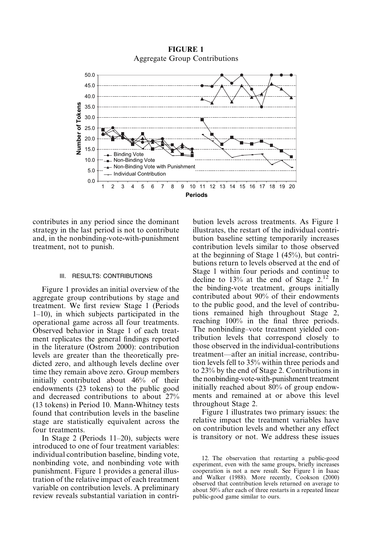

FIGURE 1 Aggregate Group Contributions

contributes in any period since the dominant strategy in the last period is not to contribute and, in the nonbinding-vote-with-punishment treatment, not to punish.

#### III. RESULTS: CONTRIBUTIONS

Figure 1 provides an initial overview of the aggregate group contributions by stage and treatment. We first review Stage 1 (Periods 1–10), in which subjects participated in the operational game across all four treatments. Observed behavior in Stage 1 of each treatment replicates the general findings reported in the literature (Ostrom 2000): contribution levels are greater than the theoretically predicted zero, and although levels decline over time they remain above zero. Group members initially contributed about 46% of their endowments (23 tokens) to the public good and decreased contributions to about 27% (13 tokens) in Period 10. Mann-Whitney tests found that contribution levels in the baseline stage are statistically equivalent across the four treatments.

In Stage 2 (Periods 11–20), subjects were introduced to one of four treatment variables: individual contribution baseline, binding vote, nonbinding vote, and nonbinding vote with punishment. Figure 1 provides a general illustration of the relative impact of each treatment variable on contribution levels. A preliminary review reveals substantial variation in contribution levels across treatments. As Figure 1 illustrates, the restart of the individual contribution baseline setting temporarily increases contribution levels similar to those observed at the beginning of Stage 1 (45%), but contributions return to levels observed at the end of Stage 1 within four periods and continue to decline to 13% at the end of Stage  $2^{12}$  In the binding-vote treatment, groups initially contributed about 90% of their endowments to the public good, and the level of contributions remained high throughout Stage 2, reaching 100% in the final three periods. The nonbinding–vote treatment yielded contribution levels that correspond closely to those observed in the individual-contributions treatment—after an initial increase, contribution levels fell to 35% within three periods and to 23% by the end of Stage 2. Contributions in the nonbinding-vote-with-punishment treatment initially reached about 80% of group endowments and remained at or above this level throughout Stage 2.

Figure 1 illustrates two primary issues: the relative impact the treatment variables have on contribution levels and whether any effect is transitory or not. We address these issues

<sup>12.</sup> The observation that restarting a public-good experiment, even with the same groups, briefly increases cooperation is not a new result. See Figure 1 in Isaac and Walker (1988). More recently, Cookson (2000) observed that contribution levels returned on average to about 50% after each of three restarts in a repeated linear public-good game similar to ours.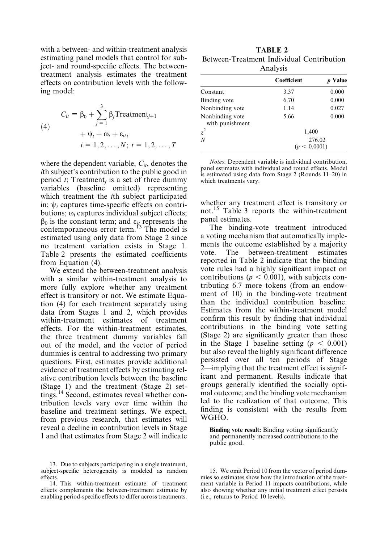with a between- and within-treatment analysis estimating panel models that control for subject- and round-specific effects. The betweentreatment analysis estimates the treatment effects on contribution levels with the following model:

(4)  
\n
$$
C_{it} = \beta_0 + \sum_{j=1}^{3} \beta_j \text{Treatment}_{j+1} + \psi_t + \omega_i + \varepsilon_{it},
$$
\n
$$
i = 1, 2, ..., N; t = 1, 2, ..., T
$$

where the dependent variable,  $C_{it}$ , denotes the ith subject's contribution to the public good in period  $t$ ; Treatment<sub>i</sub> is a set of three dummy variables (baseline omitted) representing which treatment the ith subject participated in;  $\psi_t$  captures time-specific effects on contributions;  $\omega_i$  captures individual subject effects;  $\beta_0$  is the constant term; and  $\varepsilon_{it}$  represents the contemporaneous error term.<sup>13</sup> The model is estimated using only data from Stage 2 since no treatment variation exists in Stage 1. Table 2 presents the estimated coefficients from Equation (4).

We extend the between-treatment analysis with a similar within-treatment analysis to more fully explore whether any treatment effect is transitory or not. We estimate Equation (4) for each treatment separately using data from Stages 1 and 2, which provides within-treatment estimates of treatment effects. For the within-treatment estimates, the three treatment dummy variables fall out of the model, and the vector of period dummies is central to addressing two primary questions. First, estimates provide additional evidence of treatment effects by estimating relative contribution levels between the baseline (Stage 1) and the treatment (Stage 2) settings.<sup>14</sup> Second, estimates reveal whether contribution levels vary over time within the baseline and treatment settings. We expect, from previous research, that estimates will reveal a decline in contribution levels in Stage 1 and that estimates from Stage 2 will indicate

TABLE 2 Between-Treatment Individual Contribution Analysis

|                                    | <b>Coefficient</b> | <b>Value</b> |
|------------------------------------|--------------------|--------------|
| Constant                           | 3.37               | 0.000        |
| Binding vote                       | 6.70               | 0.000        |
| Nonbinding vote                    | 1.14               | 0.027        |
| Nonbinding vote<br>with punishment | 5.66               | 0.000        |
| $\chi^2$                           | 1,400              |              |
| N                                  |                    | 276.02       |
|                                    | $< 0.0001$ )       |              |

Notes: Dependent variable is individual contribution, panel estimates with individual and round effects. Model is estimated using data from Stage 2 (Rounds 11–20) in which treatments vary.

whether any treatment effect is transitory or not.<sup>15</sup> Table 3 reports the within-treatment panel estimates.

The binding-vote treatment introduced a voting mechanism that automatically implements the outcome established by a majority<br>vote. The between-treatment estimates vote. The between-treatment estimates reported in Table 2 indicate that the binding vote rules had a highly significant impact on contributions ( $p < 0.001$ ), with subjects contributing 6.7 more tokens (from an endowment of 10) in the binding-vote treatment than the individual contribution baseline. Estimates from the within-treatment model confirm this result by finding that individual contributions in the binding vote setting (Stage 2) are significantly greater than those in the Stage 1 baseline setting  $(p < 0.001)$ but also reveal the highly significant difference persisted over all ten periods of Stage 2—implying that the treatment effect is significant and permanent. Results indicate that groups generally identified the socially optimal outcome, and the binding vote mechanism led to the realization of that outcome. This finding is consistent with the results from WGHO.

Binding vote result: Binding voting significantly and permanently increased contributions to the public good.

<sup>13.</sup> Due to subjects participating in a single treatment, subject-specific heterogeneity is modeled as random effects.

<sup>14.</sup> This within-treatment estimate of treatment effects complements the between-treatment estimate by enabling period-specific effects to differ across treatments.

<sup>15.</sup> We omit Period 10 from the vector of period dummies so estimates show how the introduction of the treatment variable in Period 11 impacts contributions, while also showing whether any initial treatment effect persists (i.e., returns to Period 10 levels).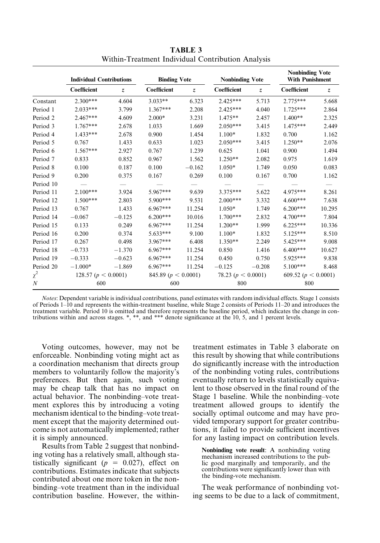|           |                         | <b>Individual Contributions</b> |                         | <b>Binding Vote</b> | <b>Nonbinding Vote</b> |                              | <b>Nonbinding Vote</b><br><b>With Punishment</b> |        |
|-----------|-------------------------|---------------------------------|-------------------------|---------------------|------------------------|------------------------------|--------------------------------------------------|--------|
|           | <b>Coefficient</b>      | $\overline{z}$                  | Coefficient             | $\overline{z}$      | <b>Coefficient</b>     | $\overline{z}$               | <b>Coefficient</b>                               | z.     |
| Constant  | 2.300***                | 4.604                           | $3.033**$               | 6.323               | $2.425***$             | 5.713                        | $2.775***$                                       | 5.668  |
| Period 1  | $2.033***$              | 3.799                           | $1.367***$              | 2.208               | $2.425***$             | 4.040                        | $1.725***$                                       | 2.864  |
| Period 2  | $2.467***$              | 4.609                           | $2.000*$                | 3.231               | $1.475**$              | 2.457                        | $1.400**$                                        | 2.325  |
| Period 3  | $1.767***$              | 2.678                           | 1.033                   | 1.669               | $2.050***$             | 3.415                        | $1.475***$                                       | 2.449  |
| Period 4  | $1.433***$              | 2.678                           | 0.900                   | 1.454               | 1.100*                 | 1.832                        | 0.700                                            | 1.162  |
| Period 5  | 0.767                   | 1.433                           | 0.633                   | 1.023               | $2.050***$             | 3.415                        | $1.250**$                                        | 2.076  |
| Period 6  | $1.567***$              | 2.927                           | 0.767                   | 1.239               | 0.625                  | 1.041                        | 0.900                                            | 1.494  |
| Period 7  | 0.833                   | 0.852                           | 0.967                   | 1.562               | $1.250**$              | 2.082                        | 0.975                                            | 1.619  |
| Period 8  | 0.100                   | 0.187                           | 0.100                   | $-0.162$            | 1.050*                 | 1.749                        | 0.050                                            | 0.083  |
| Period 9  | 0.200                   | 0.375                           | 0.167                   | 0.269               | 0.100                  | 0.167                        | 0.700                                            | 1.162  |
| Period 10 |                         |                                 |                         |                     |                        | $\overbrace{\qquad \qquad }$ |                                                  |        |
| Period 11 | $2.100***$              | 3.924                           | 5.967***                | 9.639               | $3.375***$             | 5.622                        | 4.975***                                         | 8.261  |
| Period 12 | $1.500***$              | 2.803                           | 5.900***                | 9.531               | $2.000***$             | 3.332                        | $4.600***$                                       | 7.638  |
| Period 13 | 0.767                   | 1.433                           | $6.967***$              | 11.254              | $1.050*$               | 1.749                        | $6.200***$                                       | 10.295 |
| Period 14 | $-0.067$                | $-0.125$                        | $6.200***$              | 10.016              | $1.700***$             | 2.832                        | 4.700***                                         | 7.804  |
| Period 15 | 0.133                   | 0.249                           | 6.967***                | 11.254              | $1.200**$              | 1.999                        | $6.225***$                                       | 10.336 |
| Period 16 | 0.200                   | 0.374                           | $5.633***$              | 9.100               | 1.100*                 | 1.832                        | $5.125***$                                       | 8.510  |
| Period 17 | 0.267                   | 0.498                           | 3.967***                | 6.408               | $1.350**$              | 2.249                        | 5.425***                                         | 9.008  |
| Period 18 | $-0.733$                | $-1.370$                        | $6.967***$              | 11.254              | 0.850                  | 1.416                        | $6.400***$                                       | 10.627 |
| Period 19 | $-0.333$                | $-0.623$                        | $6.967***$              | 11.254              | 0.450                  | 0.750                        | 5.925***                                         | 9.838  |
| Period 20 | $-1.000*$               | $-1.869$                        | $6.967***$              | 11.254              | $-0.125$               | $-0.208$                     | $5.100***$                                       | 8.468  |
| $\chi^2$  | 128.57 ( $p < 0.0001$ ) |                                 | 845.89 ( $p < 0.0001$ ) |                     | 78.23 ( $p < 0.0001$ ) |                              | 609.52 ( $p < 0.0001$ )                          |        |
| N         | 600                     |                                 | 600                     |                     | 800                    |                              | 800                                              |        |

TABLE 3 Within-Treatment Individual Contribution Analysis

Notes: Dependent variable is individual contributions, panel estimates with random individual effects. Stage 1 consists of Periods 1–10 and represents the within-treatment baseline, while Stage 2 consists of Periods 11–20 and introduces the treatment variable. Period 10 is omitted and therefore represents the baseline period, which indicates the change in contributions within and across stages. \*, \*\*, and \*\*\* denote significance at the 10, 5, and 1 percent levels.

Voting outcomes, however, may not be enforceable. Nonbinding voting might act as a coordination mechanism that directs group members to voluntarily follow the majority's preferences. But then again, such voting may be cheap talk that has no impact on actual behavior. The nonbinding–vote treatment explores this by introducing a voting mechanism identical to the binding–vote treatment except that the majority determined outcome is not automatically implemented; rather it is simply announced.

Results from Table 2 suggest that nonbinding voting has a relatively small, although statistically significant ( $p = 0.027$ ), effect on contributions. Estimates indicate that subjects contributed about one more token in the nonbinding–vote treatment than in the individual contribution baseline. However, the withintreatment estimates in Table 3 elaborate on this result by showing that while contributions do significantly increase with the introduction of the nonbinding voting rules, contributions eventually return to levels statistically equivalent to those observed in the final round of the Stage 1 baseline. While the nonbinding–vote treatment allowed groups to identify the socially optimal outcome and may have provided temporary support for greater contributions, it failed to provide sufficient incentives for any lasting impact on contribution levels.

Nonbinding vote result: A nonbinding voting mechanism increased contributions to the public good marginally and temporarily, and the contributions were significantly lower than with the binding-vote mechanism.

The weak performance of nonbinding voting seems to be due to a lack of commitment,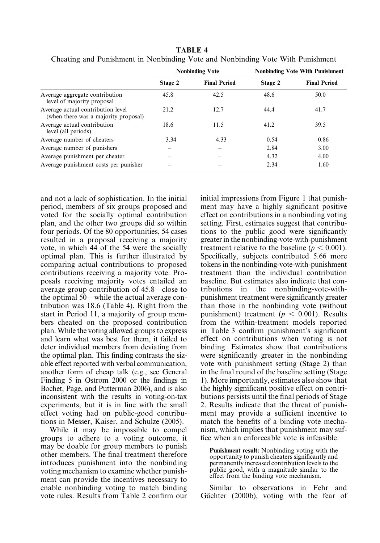|                                                                           |         |                        | <b>Nonbinding Vote With Punishment</b> |                     |  |
|---------------------------------------------------------------------------|---------|------------------------|----------------------------------------|---------------------|--|
|                                                                           |         | <b>Nonbinding Vote</b> |                                        |                     |  |
|                                                                           | Stage 2 | <b>Final Period</b>    | Stage 2                                | <b>Final Period</b> |  |
| Average aggregate contribution<br>level of majority proposal              | 45.8    | 42.5                   | 48.6                                   | 50.0                |  |
| Average actual contribution level<br>(when there was a majority proposal) | 21.2    | 12.7                   | 44.4                                   | 41.7                |  |
| Average actual contribution<br>level (all periods)                        | 18.6    | 11.5                   | 41.2                                   | 39.5                |  |
| Average number of cheaters                                                | 3.34    | 4.33                   | 0.54                                   | 0.86                |  |
| Average number of punishers                                               |         |                        | 2.84                                   | 3.00                |  |
| Average punishment per cheater                                            |         |                        | 4.32                                   | 4.00                |  |
| Average punishment costs per punisher                                     |         |                        | 2.34                                   | 1.60                |  |

TABLE 4 Cheating and Punishment in Nonbinding Vote and Nonbinding Vote With Punishment

and not a lack of sophistication. In the initial period, members of six groups proposed and voted for the socially optimal contribution plan, and the other two groups did so within four periods. Of the 80 opportunities, 54 cases resulted in a proposal receiving a majority vote, in which 44 of the 54 were the socially optimal plan. This is further illustrated by comparing actual contributions to proposed contributions receiving a majority vote. Proposals receiving majority votes entailed an average group contribution of 45.8—close to the optimal 50—while the actual average contribution was 18.6 (Table 4). Right from the start in Period 11, a majority of group members cheated on the proposed contribution plan. While the voting allowed groups to express and learn what was best for them, it failed to deter individual members from deviating from the optimal plan. This finding contrasts the sizable effect reported with verbal communication, another form of cheap talk (e.g., see General Finding 5 in Ostrom 2000 or the findings in Bochet, Page, and Putterman 2006), and is also inconsistent with the results in voting-on-tax experiments, but it is in line with the small effect voting had on public-good contributions in Messer, Kaiser, and Schulze (2005).

While it may be impossible to compel groups to adhere to a voting outcome, it may be doable for group members to punish other members. The final treatment therefore introduces punishment into the nonbinding voting mechanism to examine whether punishment can provide the incentives necessary to enable nonbinding voting to match binding vote rules. Results from Table 2 confirm our initial impressions from Figure 1 that punishment may have a highly significant positive effect on contributions in a nonbinding voting setting. First, estimates suggest that contributions to the public good were significantly greater in the nonbinding-vote-with-punishment treatment relative to the baseline ( $p < 0.001$ ). Specifically, subjects contributed 5.66 more tokens in the nonbinding-vote-with-punishment treatment than the individual contribution baseline. But estimates also indicate that contributions in the nonbinding-vote-withpunishment treatment were significantly greater than those in the nonbinding vote (without punishment) treatment ( $p < 0.001$ ). Results from the within-treatment models reported in Table 3 confirm punishment's significant effect on contributions when voting is not binding. Estimates show that contributions were significantly greater in the nonbinding vote with punishment setting (Stage 2) than in the final round of the baseline setting (Stage 1). More importantly, estimates also show that the highly significant positive effect on contributions persists until the final periods of Stage 2. Results indicate that the threat of punishment may provide a sufficient incentive to match the benefits of a binding vote mechanism, which implies that punishment may suffice when an enforceable vote is infeasible.

Punishment result: Nonbinding voting with the opportunity to punish cheaters significantly and permanently increased contribution levels to the public good, with a magnitude similar to the effect from the binding vote mechanism.

Similar to observations in Fehr and Gächter (2000b), voting with the fear of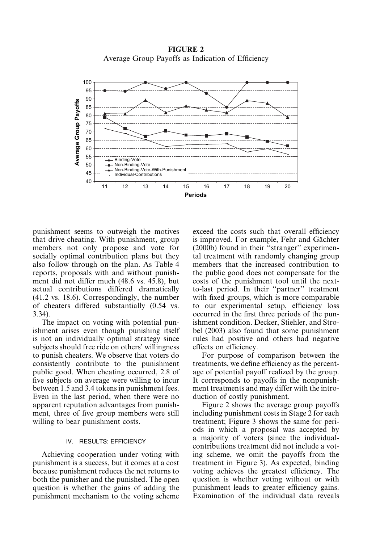FIGURE 2 Average Group Payoffs as Indication of Efficiency



punishment seems to outweigh the motives that drive cheating. With punishment, group members not only propose and vote for socially optimal contribution plans but they also follow through on the plan. As Table 4 reports, proposals with and without punishment did not differ much (48.6 vs. 45.8), but actual contributions differed dramatically (41.2 vs. 18.6). Correspondingly, the number of cheaters differed substantially (0.54 vs. 3.34).

The impact on voting with potential punishment arises even though punishing itself is not an individually optimal strategy since subjects should free ride on others' willingness to punish cheaters. We observe that voters do consistently contribute to the punishment public good. When cheating occurred, 2.8 of five subjects on average were willing to incur between 1.5 and 3.4 tokens in punishment fees. Even in the last period, when there were no apparent reputation advantages from punishment, three of five group members were still willing to bear punishment costs.

#### IV. RESULTS: EFFICIENCY

Achieving cooperation under voting with punishment is a success, but it comes at a cost because punishment reduces the net returns to both the punisher and the punished. The open question is whether the gains of adding the punishment mechanism to the voting scheme exceed the costs such that overall efficiency is improved. For example, Fehr and Gächter (2000b) found in their ''stranger'' experimental treatment with randomly changing group members that the increased contribution to the public good does not compensate for the costs of the punishment tool until the nextto-last period. In their ''partner'' treatment with fixed groups, which is more comparable to our experimental setup, efficiency loss occurred in the first three periods of the punishment condition. Decker, Stiehler, and Strobel (2003) also found that some punishment rules had positive and others had negative effects on efficiency.

For purpose of comparison between the treatments, we define efficiency as the percentage of potential payoff realized by the group. It corresponds to payoffs in the nonpunishment treatments and may differ with the introduction of costly punishment.

Figure 2 shows the average group payoffs including punishment costs in Stage 2 for each treatment; Figure 3 shows the same for periods in which a proposal was accepted by a majority of voters (since the individualcontributions treatment did not include a voting scheme, we omit the payoffs from the treatment in Figure 3). As expected, binding voting achieves the greatest efficiency. The question is whether voting without or with punishment leads to greater efficiency gains. Examination of the individual data reveals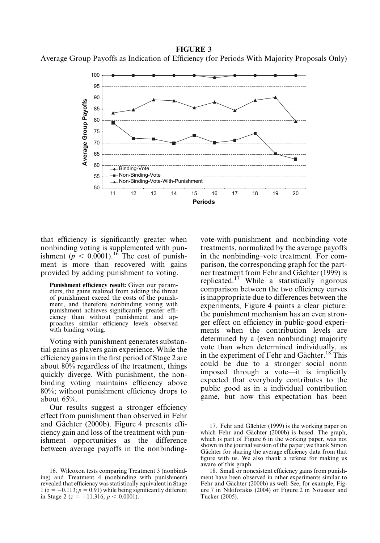FIGURE 3 Average Group Payoffs as Indication of Efficiency (for Periods With Majority Proposals Only)



that efficiency is significantly greater when nonbinding voting is supplemented with punishment ( $p < 0.0001$ ).<sup>16</sup> The cost of punishment is more than recovered with gains provided by adding punishment to voting.

Punishment efficiency result: Given our parameters, the gains realized from adding the threat of punishment exceed the costs of the punishment, and therefore nonbinding voting with punishment achieves significantly greater efficiency than without punishment and approaches similar efficiency levels observed with binding voting.

Voting with punishment generates substantial gains as players gain experience. While the efficiency gains in the first period of Stage 2 are about 80% regardless of the treatment, things quickly diverge. With punishment, the nonbinding voting maintains efficiency above 80%; without punishment efficiency drops to about  $65%$ .

Our results suggest a stronger efficiency effect from punishment than observed in Fehr and Gächter (2000b). Figure 4 presents efficiency gain and loss of the treatment with punishment opportunities as the difference between average payoffs in the nonbinding-

vote-with-punishment and nonbinding–vote treatments, normalized by the average payoffs in the nonbinding–vote treatment. For comparison, the corresponding graph for the partner treatment from Fehr and Gächter (1999) is replicated.<sup>17</sup> While a statistically rigorous comparison between the two efficiency curves is inappropriate due to differences between the experiments, Figure 4 paints a clear picture: the punishment mechanism has an even stronger effect on efficiency in public-good experiments when the contribution levels are determined by a (even nonbinding) majority vote than when determined individually, as in the experiment of Fehr and Gächter.<sup>18</sup> This could be due to a stronger social norm imposed through a vote—it is implicitly expected that everybody contributes to the public good as in a individual contribution game, but now this expectation has been

17. Fehr and Gächter (1999) is the working paper on which Fehr and Gächter (2000b) is based. The graph, which is part of Figure 6 in the working paper, was not shown in the journal version of the paper; we thank Simon Gächter for sharing the average efficiency data from that figure with us. We also thank a referee for making us aware of this graph.

18. Small or nonexistent efficiency gains from punishment have been observed in other experiments similar to Fehr and Gächter (2000b) as well. See, for example, Figure 7 in Nikiforakis (2004) or Figure 2 in Noussair and Tucker (2005).

<sup>16.</sup> Wilcoxon tests comparing Treatment 3 (nonbinding) and Treatment 4 (nonbinding with punishment) revealed that efficiency was statistically equivalent in Stage  $1 (z = -0.113; p = 0.91)$  while being significantly different in Stage 2 ( $z = -11.316$ ;  $p < 0.0001$ ).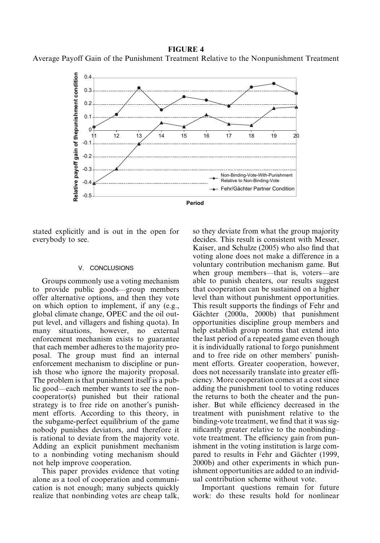FIGURE 4 Average Payoff Gain of the Punishment Treatment Relative to the Nonpunishment Treatment



stated explicitly and is out in the open for everybody to see.

#### V. CONCLUSIONS

Groups commonly use a voting mechanism to provide public goods—group members offer alternative options, and then they vote on which option to implement, if any (e.g., global climate change, OPEC and the oil output level, and villagers and fishing quota). In many situations, however, no external enforcement mechanism exists to guarantee that each member adheres to the majority proposal. The group must find an internal enforcement mechanism to discipline or punish those who ignore the majority proposal. The problem is that punishment itself is a public good—each member wants to see the noncooperator(s) punished but their rational strategy is to free ride on another's punishment efforts. According to this theory, in the subgame-perfect equilibrium of the game nobody punishes deviators, and therefore it is rational to deviate from the majority vote. Adding an explicit punishment mechanism to a nonbinding voting mechanism should not help improve cooperation.

This paper provides evidence that voting alone as a tool of cooperation and communication is not enough; many subjects quickly realize that nonbinding votes are cheap talk,

so they deviate from what the group majority decides. This result is consistent with Messer, Kaiser, and Schulze (2005) who also find that voting alone does not make a difference in a voluntary contribution mechanism game. But when group members—that is, voters—are able to punish cheaters, our results suggest that cooperation can be sustained on a higher level than without punishment opportunities. This result supports the findings of Fehr and Gächter (2000a, 2000b) that punishment opportunities discipline group members and help establish group norms that extend into the last period of a repeated game even though it is individually rational to forgo punishment and to free ride on other members' punishment efforts. Greater cooperation, however, does not necessarily translate into greater efficiency. More cooperation comes at a cost since adding the punishment tool to voting reduces the returns to both the cheater and the punisher. But while efficiency decreased in the treatment with punishment relative to the binding-vote treatment, we find that it was significantly greater relative to the nonbinding– vote treatment. The efficiency gain from punishment in the voting institution is large compared to results in Fehr and Gächter (1999, 2000b) and other experiments in which punishment opportunities are added to an individual contribution scheme without vote.

Important questions remain for future work: do these results hold for nonlinear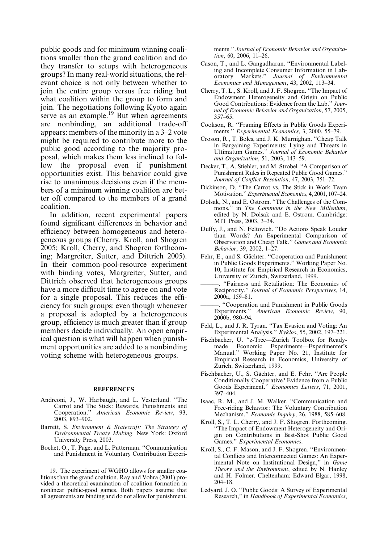public goods and for minimum winning coalitions smaller than the grand coalition and do they transfer to setups with heterogeneous groups? In many real-world situations, the relevant choice is not only between whether to join the entire group versus free riding but what coalition within the group to form and join. The negotiations following Kyoto again serve as an example.<sup>19</sup> But when agreements are nonbinding, an additional trade-off appears: members of the minority in a 3–2 vote might be required to contribute more to the public good according to the majority proposal, which makes them less inclined to follow the proposal even if punishment opportunities exist. This behavior could give rise to unanimous decisions even if the members of a minimum winning coalition are better off compared to the members of a grand coalition.

In addition, recent experimental papers found significant differences in behavior and efficiency between homogeneous and heterogeneous groups (Cherry, Kroll, and Shogren 2005; Kroll, Cherry, and Shogren forthcoming; Margreiter, Sutter, and Dittrich 2005). In their common-pool-resource experiment with binding votes, Margreiter, Sutter, and Dittrich observed that heterogeneous groups have a more difficult time to agree on and vote for a single proposal. This reduces the efficiency for such groups: even though whenever a proposal is adopted by a heterogeneous group, efficiency is much greater than if group members decide individually. An open empirical question is what will happen when punishment opportunities are added to a nonbinding voting scheme with heterogeneous groups.

#### **REFERENCES**

- Andreoni, J., W. Harbaugh, and L. Vesterlund. ''The Carrot and The Stick: Rewards, Punishments and Cooperation.'' American Economic Review, 93, 2003, 893–902.
- Barrett, S. Environment & Statecraft: The Strategy of Environmental Treaty Making. New York: Oxford University Press, 2003.
- Bochet, O., T. Page, and L. Putterman. ''Communication and Punishment in Voluntary Contribution Experi-

19. The experiment of WGHO allows for smaller coalitions than the grand coalition. Ray and Vohra (2001) provided a theoretical examination of coalition formation in nonlinear public-good games. Both papers assume that all agreements are binding and do not allow for punishment. ments.'' Journal of Economic Behavior and Organization, 60, 2006, 11–26.

- Cason, T., and L. Gangadharan. ''Environmental Labeling and Incomplete Consumer Information in Laboratory Markets." Journal of Environmental Economics and Management, 43, 2002, 113–34.
- Cherry, T. L., S. Kroll, and J. F. Shogren. ''The Impact of Endowment Heterogeneity and Origin on Public Good Contributions: Evidence from the Lab.'' Journal of Economic Behavior and Organization, 57, 2005, 357–65.
- Cookson, R. ''Framing Effects in Public Goods Experiments." Experimental Economics, 3, 2000, 55–79.
- Croson, R., T. Boles, and J. K. Murnighan. ''Cheap Talk in Bargaining Experiments: Lying and Threats in Ultimatum Games.'' Journal of Economic Behavior and Organization, 51, 2003, 143–59.
- Decker, T., A. Stiehler, and M. Strobel. ''A Comparison of Punishment Rules in Repeated Public Good Games.'' Journal of Conflict Resolution, 47, 2003, 751-72.
- Dickinson, D. ''The Carrot vs. The Stick in Work Team Motivation.''Experimental Economics, 4, 2001, 107–24.
- Dolsak, N., and E. Ostrom. ''The Challenges of the Commons," in The Commons in the New Millenium, edited by N. Dolsak and E. Ostrom. Cambridge: MIT Press, 2003, 3–34.
- Duffy, J., and N. Feltovich. ''Do Actions Speak Louder than Words? An Experimental Comparison of Observation and Cheap Talk." Games and Economic Behavior, 39, 2002, 1–27.
- Fehr, E., and S. Gächter. "Cooperation and Punishment in Public Goods Experiments.'' Working Paper No. 10, Institute for Empirical Research in Economics, University of Zurich, Switzerland, 1999.
- ———. ''Fairness and Retaliation: The Economics of Reciprocity.'' Journal of Economic Perspectives, 14, 2000a, 159–81.
- ———. ''Cooperation and Punishment in Public Goods Experiments.'' American Economic Review, 90, 2000b, 980–94.
- Feld, L., and J. R. Tyran. ''Tax Evasion and Voting: An Experimental Analysis."  $Kyklos, 55, 2002, 197-221$ .
- Fischbacher, U. ''z-Tree—Zurich Toolbox for Readymade Economic Experiments—Experimenter's Manual.'' Working Paper No. 21, Institute for Empirical Research in Economics, University of Zurich, Switzerland, 1999.
- Fischbacher, U., S. Gächter, and E. Fehr. "Are People Conditionally Cooperative? Evidence from a Public Goods Experiment." Economics Letters, 71, 2001, 397–404.
- Isaac, R. M., and J. M. Walker. ''Communication and Free-riding Behavior: The Voluntary Contribution Mechanism.'' Economic Inquiry, 26, 1988, 585–608.
- Kroll, S., T. L. Cherry, and J. F. Shogren. Forthcoming. ''The Impact of Endowment Heterogeneity and Origin on Contributions in Best-Shot Public Good Games." Experimental Economics.
- Kroll, S., C. F. Mason, and J. F. Shogren. ''Environmental Conflicts and Interconnected Games: An Experimental Note on Institutional Design," in Game Theory and the Environment, edited by N. Hanley and H. Folmer. Cheltenham: Edward Elgar, 1998, 204–18.
- Ledyard, J. O. ''Public Goods: A Survey of Experimental Research," in Handbook of Experimental Economics,